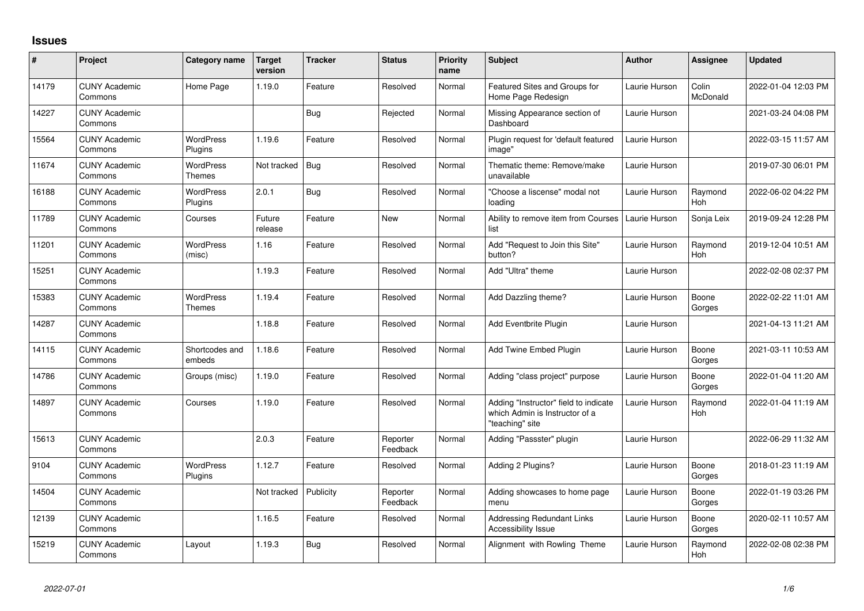## **Issues**

| $\sharp$ | Project                         | Category name                     | <b>Target</b><br>version | <b>Tracker</b> | <b>Status</b>        | <b>Priority</b><br>name | <b>Subject</b>                                                                             | <b>Author</b> | <b>Assignee</b>   | <b>Updated</b>      |
|----------|---------------------------------|-----------------------------------|--------------------------|----------------|----------------------|-------------------------|--------------------------------------------------------------------------------------------|---------------|-------------------|---------------------|
| 14179    | <b>CUNY Academic</b><br>Commons | Home Page                         | 1.19.0                   | Feature        | Resolved             | Normal                  | Featured Sites and Groups for<br>Home Page Redesign                                        | Laurie Hurson | Colin<br>McDonald | 2022-01-04 12:03 PM |
| 14227    | <b>CUNY Academic</b><br>Commons |                                   |                          | <b>Bug</b>     | Rejected             | Normal                  | Missing Appearance section of<br>Dashboard                                                 | Laurie Hurson |                   | 2021-03-24 04:08 PM |
| 15564    | <b>CUNY Academic</b><br>Commons | <b>WordPress</b><br>Plugins       | 1.19.6                   | Feature        | Resolved             | Normal                  | Plugin request for 'default featured<br>image"                                             | Laurie Hurson |                   | 2022-03-15 11:57 AM |
| 11674    | <b>CUNY Academic</b><br>Commons | <b>WordPress</b><br>Themes        | Not tracked              | <b>Bug</b>     | Resolved             | Normal                  | Thematic theme: Remove/make<br>unavailable                                                 | Laurie Hurson |                   | 2019-07-30 06:01 PM |
| 16188    | <b>CUNY Academic</b><br>Commons | WordPress<br>Plugins              | 2.0.1                    | <b>Bug</b>     | Resolved             | Normal                  | "Choose a liscense" modal not<br>loading                                                   | Laurie Hurson | Raymond<br>Hoh    | 2022-06-02 04:22 PM |
| 11789    | <b>CUNY Academic</b><br>Commons | Courses                           | Future<br>release        | Feature        | New                  | Normal                  | Ability to remove item from Courses<br>list                                                | Laurie Hurson | Sonja Leix        | 2019-09-24 12:28 PM |
| 11201    | <b>CUNY Academic</b><br>Commons | <b>WordPress</b><br>(misc)        | 1.16                     | Feature        | Resolved             | Normal                  | Add "Request to Join this Site"<br>button?                                                 | Laurie Hurson | Raymond<br>Hoh    | 2019-12-04 10:51 AM |
| 15251    | <b>CUNY Academic</b><br>Commons |                                   | 1.19.3                   | Feature        | Resolved             | Normal                  | Add "Ultra" theme                                                                          | Laurie Hurson |                   | 2022-02-08 02:37 PM |
| 15383    | <b>CUNY Academic</b><br>Commons | <b>WordPress</b><br><b>Themes</b> | 1.19.4                   | Feature        | Resolved             | Normal                  | Add Dazzling theme?                                                                        | Laurie Hurson | Boone<br>Gorges   | 2022-02-22 11:01 AM |
| 14287    | <b>CUNY Academic</b><br>Commons |                                   | 1.18.8                   | Feature        | Resolved             | Normal                  | Add Eventbrite Plugin                                                                      | Laurie Hurson |                   | 2021-04-13 11:21 AM |
| 14115    | <b>CUNY Academic</b><br>Commons | Shortcodes and<br>embeds          | 1.18.6                   | Feature        | Resolved             | Normal                  | Add Twine Embed Plugin                                                                     | Laurie Hurson | Boone<br>Gorges   | 2021-03-11 10:53 AM |
| 14786    | <b>CUNY Academic</b><br>Commons | Groups (misc)                     | 1.19.0                   | Feature        | Resolved             | Normal                  | Adding "class project" purpose                                                             | Laurie Hurson | Boone<br>Gorges   | 2022-01-04 11:20 AM |
| 14897    | <b>CUNY Academic</b><br>Commons | Courses                           | 1.19.0                   | Feature        | Resolved             | Normal                  | Adding "Instructor" field to indicate<br>which Admin is Instructor of a<br>"teaching" site | Laurie Hurson | Raymond<br>Hoh    | 2022-01-04 11:19 AM |
| 15613    | <b>CUNY Academic</b><br>Commons |                                   | 2.0.3                    | Feature        | Reporter<br>Feedback | Normal                  | Adding "Passster" plugin                                                                   | Laurie Hurson |                   | 2022-06-29 11:32 AM |
| 9104     | <b>CUNY Academic</b><br>Commons | WordPress<br>Plugins              | 1.12.7                   | Feature        | Resolved             | Normal                  | Adding 2 Plugins?                                                                          | Laurie Hurson | Boone<br>Gorges   | 2018-01-23 11:19 AM |
| 14504    | <b>CUNY Academic</b><br>Commons |                                   | Not tracked              | Publicity      | Reporter<br>Feedback | Normal                  | Adding showcases to home page<br>menu                                                      | Laurie Hurson | Boone<br>Gorges   | 2022-01-19 03:26 PM |
| 12139    | <b>CUNY Academic</b><br>Commons |                                   | 1.16.5                   | Feature        | Resolved             | Normal                  | <b>Addressing Redundant Links</b><br>Accessibility Issue                                   | Laurie Hurson | Boone<br>Gorges   | 2020-02-11 10:57 AM |
| 15219    | <b>CUNY Academic</b><br>Commons | Layout                            | 1.19.3                   | <b>Bug</b>     | Resolved             | Normal                  | Alignment with Rowling Theme                                                               | Laurie Hurson | Raymond<br>Hoh    | 2022-02-08 02:38 PM |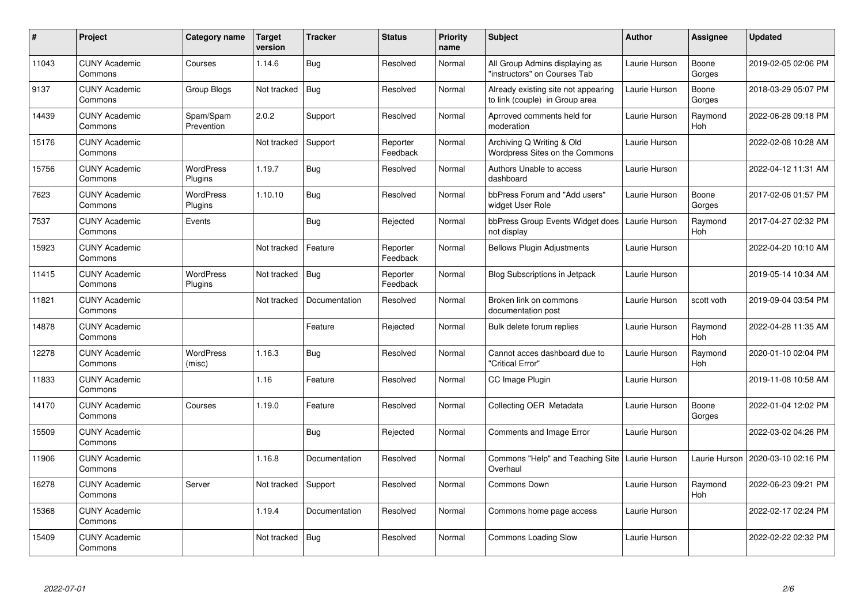| #     | Project                         | Category name               | <b>Target</b><br>version | <b>Tracker</b> | <b>Status</b>        | <b>Priority</b><br>name | <b>Subject</b>                                                        | <b>Author</b> | Assignee              | Updated             |
|-------|---------------------------------|-----------------------------|--------------------------|----------------|----------------------|-------------------------|-----------------------------------------------------------------------|---------------|-----------------------|---------------------|
| 11043 | <b>CUNY Academic</b><br>Commons | Courses                     | 1.14.6                   | <b>Bug</b>     | Resolved             | Normal                  | All Group Admins displaying as<br>"instructors" on Courses Tab        | Laurie Hurson | Boone<br>Gorges       | 2019-02-05 02:06 PM |
| 9137  | <b>CUNY Academic</b><br>Commons | Group Blogs                 | Not tracked              | Bug            | Resolved             | Normal                  | Already existing site not appearing<br>to link (couple) in Group area | Laurie Hurson | Boone<br>Gorges       | 2018-03-29 05:07 PM |
| 14439 | <b>CUNY Academic</b><br>Commons | Spam/Spam<br>Prevention     | 2.0.2                    | Support        | Resolved             | Normal                  | Aprroved comments held for<br>moderation                              | Laurie Hurson | Raymond<br>Hoh        | 2022-06-28 09:18 PM |
| 15176 | <b>CUNY Academic</b><br>Commons |                             | Not tracked              | Support        | Reporter<br>Feedback | Normal                  | Archiving Q Writing & Old<br>Wordpress Sites on the Commons           | Laurie Hurson |                       | 2022-02-08 10:28 AM |
| 15756 | <b>CUNY Academic</b><br>Commons | <b>WordPress</b><br>Plugins | 1.19.7                   | <b>Bug</b>     | Resolved             | Normal                  | Authors Unable to access<br>dashboard                                 | Laurie Hurson |                       | 2022-04-12 11:31 AM |
| 7623  | <b>CUNY Academic</b><br>Commons | WordPress<br>Plugins        | 1.10.10                  | <b>Bug</b>     | Resolved             | Normal                  | bbPress Forum and "Add users"<br>widget User Role                     | Laurie Hurson | Boone<br>Gorges       | 2017-02-06 01:57 PM |
| 7537  | <b>CUNY Academic</b><br>Commons | Events                      |                          | <b>Bug</b>     | Rejected             | Normal                  | bbPress Group Events Widget does<br>not display                       | Laurie Hurson | Raymond<br>Hoh        | 2017-04-27 02:32 PM |
| 15923 | <b>CUNY Academic</b><br>Commons |                             | Not tracked              | Feature        | Reporter<br>Feedback | Normal                  | <b>Bellows Plugin Adjustments</b>                                     | Laurie Hurson |                       | 2022-04-20 10:10 AM |
| 11415 | <b>CUNY Academic</b><br>Commons | <b>WordPress</b><br>Plugins | Not tracked              | Bug            | Reporter<br>Feedback | Normal                  | <b>Blog Subscriptions in Jetpack</b>                                  | Laurie Hurson |                       | 2019-05-14 10:34 AM |
| 11821 | <b>CUNY Academic</b><br>Commons |                             | Not tracked              | Documentation  | Resolved             | Normal                  | Broken link on commons<br>documentation post                          | Laurie Hurson | scott voth            | 2019-09-04 03:54 PM |
| 14878 | <b>CUNY Academic</b><br>Commons |                             |                          | Feature        | Rejected             | Normal                  | Bulk delete forum replies                                             | Laurie Hurson | Raymond<br><b>Hoh</b> | 2022-04-28 11:35 AM |
| 12278 | <b>CUNY Academic</b><br>Commons | <b>WordPress</b><br>(misc)  | 1.16.3                   | <b>Bug</b>     | Resolved             | Normal                  | Cannot acces dashboard due to<br>'Critical Error"                     | Laurie Hurson | Raymond<br>Hoh        | 2020-01-10 02:04 PM |
| 11833 | <b>CUNY Academic</b><br>Commons |                             | 1.16                     | Feature        | Resolved             | Normal                  | CC Image Plugin                                                       | Laurie Hurson |                       | 2019-11-08 10:58 AM |
| 14170 | <b>CUNY Academic</b><br>Commons | Courses                     | 1.19.0                   | Feature        | Resolved             | Normal                  | Collecting OER Metadata                                               | Laurie Hurson | Boone<br>Gorges       | 2022-01-04 12:02 PM |
| 15509 | <b>CUNY Academic</b><br>Commons |                             |                          | <b>Bug</b>     | Rejected             | Normal                  | Comments and Image Error                                              | Laurie Hurson |                       | 2022-03-02 04:26 PM |
| 11906 | <b>CUNY Academic</b><br>Commons |                             | 1.16.8                   | Documentation  | Resolved             | Normal                  | Commons "Help" and Teaching Site<br>Overhaul                          | Laurie Hurson | Laurie Hurson         | 2020-03-10 02:16 PM |
| 16278 | <b>CUNY Academic</b><br>Commons | Server                      | Not tracked              | Support        | Resolved             | Normal                  | <b>Commons Down</b>                                                   | Laurie Hurson | Raymond<br>Hoh        | 2022-06-23 09:21 PM |
| 15368 | <b>CUNY Academic</b><br>Commons |                             | 1.19.4                   | Documentation  | Resolved             | Normal                  | Commons home page access                                              | Laurie Hurson |                       | 2022-02-17 02:24 PM |
| 15409 | <b>CUNY Academic</b><br>Commons |                             | Not tracked              | <b>Bug</b>     | Resolved             | Normal                  | <b>Commons Loading Slow</b>                                           | Laurie Hurson |                       | 2022-02-22 02:32 PM |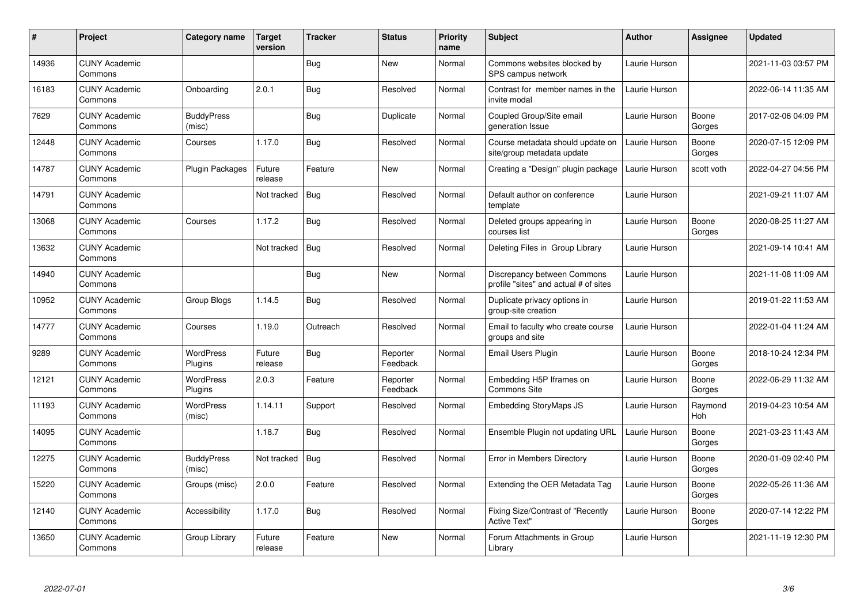| $\pmb{\#}$ | Project                         | Category name               | Target<br>version | <b>Tracker</b> | <b>Status</b>        | <b>Priority</b><br>name | <b>Subject</b>                                                       | <b>Author</b> | <b>Assignee</b> | <b>Updated</b>      |
|------------|---------------------------------|-----------------------------|-------------------|----------------|----------------------|-------------------------|----------------------------------------------------------------------|---------------|-----------------|---------------------|
| 14936      | <b>CUNY Academic</b><br>Commons |                             |                   | Bug            | <b>New</b>           | Normal                  | Commons websites blocked by<br>SPS campus network                    | Laurie Hurson |                 | 2021-11-03 03:57 PM |
| 16183      | <b>CUNY Academic</b><br>Commons | Onboarding                  | 2.0.1             | <b>Bug</b>     | Resolved             | Normal                  | Contrast for member names in the<br>invite modal                     | Laurie Hurson |                 | 2022-06-14 11:35 AM |
| 7629       | <b>CUNY Academic</b><br>Commons | <b>BuddyPress</b><br>(misc) |                   | <b>Bug</b>     | Duplicate            | Normal                  | Coupled Group/Site email<br>generation Issue                         | Laurie Hurson | Boone<br>Gorges | 2017-02-06 04:09 PM |
| 12448      | <b>CUNY Academic</b><br>Commons | Courses                     | 1.17.0            | <b>Bug</b>     | Resolved             | Normal                  | Course metadata should update on<br>site/group metadata update       | Laurie Hurson | Boone<br>Gorges | 2020-07-15 12:09 PM |
| 14787      | <b>CUNY Academic</b><br>Commons | <b>Plugin Packages</b>      | Future<br>release | Feature        | <b>New</b>           | Normal                  | Creating a "Design" plugin package                                   | Laurie Hurson | scott voth      | 2022-04-27 04:56 PM |
| 14791      | <b>CUNY Academic</b><br>Commons |                             | Not tracked       | Bug            | Resolved             | Normal                  | Default author on conference<br>template                             | Laurie Hurson |                 | 2021-09-21 11:07 AM |
| 13068      | <b>CUNY Academic</b><br>Commons | Courses                     | 1.17.2            | Bug            | Resolved             | Normal                  | Deleted groups appearing in<br>courses list                          | Laurie Hurson | Boone<br>Gorges | 2020-08-25 11:27 AM |
| 13632      | <b>CUNY Academic</b><br>Commons |                             | Not tracked       | Bug            | Resolved             | Normal                  | Deleting Files in Group Library                                      | Laurie Hurson |                 | 2021-09-14 10:41 AM |
| 14940      | <b>CUNY Academic</b><br>Commons |                             |                   | Bug            | New                  | Normal                  | Discrepancy between Commons<br>profile "sites" and actual # of sites | Laurie Hurson |                 | 2021-11-08 11:09 AM |
| 10952      | <b>CUNY Academic</b><br>Commons | Group Blogs                 | 1.14.5            | <b>Bug</b>     | Resolved             | Normal                  | Duplicate privacy options in<br>group-site creation                  | Laurie Hurson |                 | 2019-01-22 11:53 AM |
| 14777      | <b>CUNY Academic</b><br>Commons | Courses                     | 1.19.0            | Outreach       | Resolved             | Normal                  | Email to faculty who create course<br>groups and site                | Laurie Hurson |                 | 2022-01-04 11:24 AM |
| 9289       | <b>CUNY Academic</b><br>Commons | <b>WordPress</b><br>Plugins | Future<br>release | Bug            | Reporter<br>Feedback | Normal                  | Email Users Plugin                                                   | Laurie Hurson | Boone<br>Gorges | 2018-10-24 12:34 PM |
| 12121      | <b>CUNY Academic</b><br>Commons | <b>WordPress</b><br>Plugins | 2.0.3             | Feature        | Reporter<br>Feedback | Normal                  | Embedding H5P Iframes on<br><b>Commons Site</b>                      | Laurie Hurson | Boone<br>Gorges | 2022-06-29 11:32 AM |
| 11193      | <b>CUNY Academic</b><br>Commons | <b>WordPress</b><br>(misc)  | 1.14.11           | Support        | Resolved             | Normal                  | <b>Embedding StoryMaps JS</b>                                        | Laurie Hurson | Raymond<br>Hoh  | 2019-04-23 10:54 AM |
| 14095      | <b>CUNY Academic</b><br>Commons |                             | 1.18.7            | <b>Bug</b>     | Resolved             | Normal                  | Ensemble Plugin not updating URL                                     | Laurie Hurson | Boone<br>Gorges | 2021-03-23 11:43 AM |
| 12275      | <b>CUNY Academic</b><br>Commons | <b>BuddyPress</b><br>(misc) | Not tracked       | Bug            | Resolved             | Normal                  | Error in Members Directory                                           | Laurie Hurson | Boone<br>Gorges | 2020-01-09 02:40 PM |
| 15220      | <b>CUNY Academic</b><br>Commons | Groups (misc)               | 2.0.0             | Feature        | Resolved             | Normal                  | Extending the OER Metadata Tag                                       | Laurie Hurson | Boone<br>Gorges | 2022-05-26 11:36 AM |
| 12140      | <b>CUNY Academic</b><br>Commons | Accessibility               | 1.17.0            | <b>Bug</b>     | Resolved             | Normal                  | Fixing Size/Contrast of "Recently<br><b>Active Text"</b>             | Laurie Hurson | Boone<br>Gorges | 2020-07-14 12:22 PM |
| 13650      | <b>CUNY Academic</b><br>Commons | Group Library               | Future<br>release | Feature        | <b>New</b>           | Normal                  | Forum Attachments in Group<br>Library                                | Laurie Hurson |                 | 2021-11-19 12:30 PM |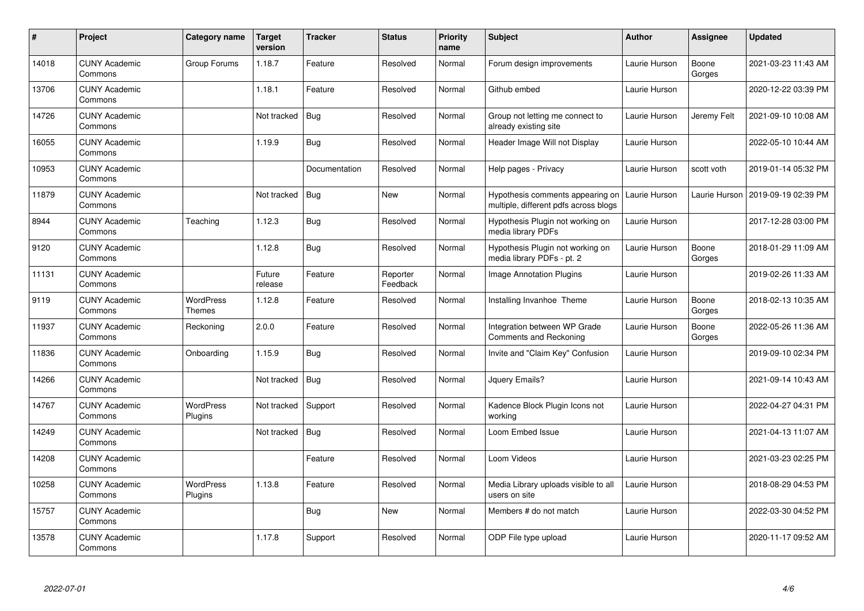| #     | Project                         | Category name               | <b>Target</b><br>version | <b>Tracker</b> | <b>Status</b>        | <b>Priority</b><br>name | <b>Subject</b>                                                            | <b>Author</b> | <b>Assignee</b> | <b>Updated</b>      |
|-------|---------------------------------|-----------------------------|--------------------------|----------------|----------------------|-------------------------|---------------------------------------------------------------------------|---------------|-----------------|---------------------|
| 14018 | <b>CUNY Academic</b><br>Commons | Group Forums                | 1.18.7                   | Feature        | Resolved             | Normal                  | Forum design improvements                                                 | Laurie Hurson | Boone<br>Gorges | 2021-03-23 11:43 AM |
| 13706 | <b>CUNY Academic</b><br>Commons |                             | 1.18.1                   | Feature        | Resolved             | Normal                  | Github embed                                                              | Laurie Hurson |                 | 2020-12-22 03:39 PM |
| 14726 | <b>CUNY Academic</b><br>Commons |                             | Not tracked              | <b>Bug</b>     | Resolved             | Normal                  | Group not letting me connect to<br>already existing site                  | Laurie Hurson | Jeremy Felt     | 2021-09-10 10:08 AM |
| 16055 | <b>CUNY Academic</b><br>Commons |                             | 1.19.9                   | Bug            | Resolved             | Normal                  | Header Image Will not Display                                             | Laurie Hurson |                 | 2022-05-10 10:44 AM |
| 10953 | <b>CUNY Academic</b><br>Commons |                             |                          | Documentation  | Resolved             | Normal                  | Help pages - Privacy                                                      | Laurie Hurson | scott voth      | 2019-01-14 05:32 PM |
| 11879 | <b>CUNY Academic</b><br>Commons |                             | Not tracked              | <b>Bug</b>     | <b>New</b>           | Normal                  | Hypothesis comments appearing on<br>multiple, different pdfs across blogs | Laurie Hurson | Laurie Hurson   | 2019-09-19 02:39 PM |
| 8944  | <b>CUNY Academic</b><br>Commons | Teaching                    | 1.12.3                   | Bug            | Resolved             | Normal                  | Hypothesis Plugin not working on<br>media library PDFs                    | Laurie Hurson |                 | 2017-12-28 03:00 PM |
| 9120  | <b>CUNY Academic</b><br>Commons |                             | 1.12.8                   | <b>Bug</b>     | Resolved             | Normal                  | Hypothesis Plugin not working on<br>media library PDFs - pt. 2            | Laurie Hurson | Boone<br>Gorges | 2018-01-29 11:09 AM |
| 11131 | <b>CUNY Academic</b><br>Commons |                             | Future<br>release        | Feature        | Reporter<br>Feedback | Normal                  | <b>Image Annotation Plugins</b>                                           | Laurie Hurson |                 | 2019-02-26 11:33 AM |
| 9119  | <b>CUNY Academic</b><br>Commons | WordPress<br>Themes         | 1.12.8                   | Feature        | Resolved             | Normal                  | Installing Invanhoe Theme                                                 | Laurie Hurson | Boone<br>Gorges | 2018-02-13 10:35 AM |
| 11937 | <b>CUNY Academic</b><br>Commons | Reckoning                   | 2.0.0                    | Feature        | Resolved             | Normal                  | Integration between WP Grade<br>Comments and Reckoning                    | Laurie Hurson | Boone<br>Gorges | 2022-05-26 11:36 AM |
| 11836 | <b>CUNY Academic</b><br>Commons | Onboarding                  | 1.15.9                   | <b>Bug</b>     | Resolved             | Normal                  | Invite and "Claim Key" Confusion                                          | Laurie Hurson |                 | 2019-09-10 02:34 PM |
| 14266 | <b>CUNY Academic</b><br>Commons |                             | Not tracked              | <b>Bug</b>     | Resolved             | Normal                  | Jquery Emails?                                                            | Laurie Hurson |                 | 2021-09-14 10:43 AM |
| 14767 | <b>CUNY Academic</b><br>Commons | <b>WordPress</b><br>Plugins | Not tracked              | Support        | Resolved             | Normal                  | Kadence Block Plugin Icons not<br>workina                                 | Laurie Hurson |                 | 2022-04-27 04:31 PM |
| 14249 | <b>CUNY Academic</b><br>Commons |                             | Not tracked              | Bug            | Resolved             | Normal                  | Loom Embed Issue                                                          | Laurie Hurson |                 | 2021-04-13 11:07 AM |
| 14208 | <b>CUNY Academic</b><br>Commons |                             |                          | Feature        | Resolved             | Normal                  | Loom Videos                                                               | Laurie Hurson |                 | 2021-03-23 02:25 PM |
| 10258 | <b>CUNY Academic</b><br>Commons | <b>WordPress</b><br>Plugins | 1.13.8                   | Feature        | Resolved             | Normal                  | Media Library uploads visible to all<br>users on site                     | Laurie Hurson |                 | 2018-08-29 04:53 PM |
| 15757 | <b>CUNY Academic</b><br>Commons |                             |                          | Bug            | <b>New</b>           | Normal                  | Members # do not match                                                    | Laurie Hurson |                 | 2022-03-30 04:52 PM |
| 13578 | <b>CUNY Academic</b><br>Commons |                             | 1.17.8                   | Support        | Resolved             | Normal                  | ODP File type upload                                                      | Laurie Hurson |                 | 2020-11-17 09:52 AM |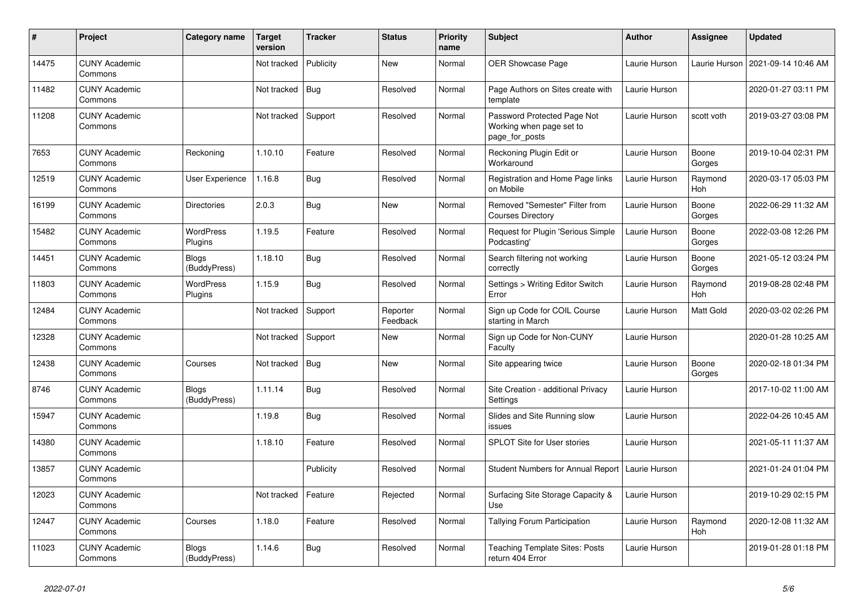| $\pmb{\sharp}$ | Project                         | Category name                | Target<br>version | <b>Tracker</b> | <b>Status</b>        | <b>Priority</b><br>name | <b>Subject</b>                                                            | <b>Author</b> | <b>Assignee</b> | <b>Updated</b>      |
|----------------|---------------------------------|------------------------------|-------------------|----------------|----------------------|-------------------------|---------------------------------------------------------------------------|---------------|-----------------|---------------------|
| 14475          | <b>CUNY Academic</b><br>Commons |                              | Not tracked       | Publicity      | <b>New</b>           | Normal                  | <b>OER Showcase Page</b>                                                  | Laurie Hurson | Laurie Hurson   | 2021-09-14 10:46 AM |
| 11482          | <b>CUNY Academic</b><br>Commons |                              | Not tracked       | <b>Bug</b>     | Resolved             | Normal                  | Page Authors on Sites create with<br>template                             | Laurie Hurson |                 | 2020-01-27 03:11 PM |
| 11208          | <b>CUNY Academic</b><br>Commons |                              | Not tracked       | Support        | Resolved             | Normal                  | Password Protected Page Not<br>Working when page set to<br>page_for_posts | Laurie Hurson | scott voth      | 2019-03-27 03:08 PM |
| 7653           | <b>CUNY Academic</b><br>Commons | Reckoning                    | 1.10.10           | Feature        | Resolved             | Normal                  | Reckoning Plugin Edit or<br>Workaround                                    | Laurie Hurson | Boone<br>Gorges | 2019-10-04 02:31 PM |
| 12519          | <b>CUNY Academic</b><br>Commons | User Experience              | 1.16.8            | <b>Bug</b>     | Resolved             | Normal                  | Registration and Home Page links<br>on Mobile                             | Laurie Hurson | Raymond<br>Hoh  | 2020-03-17 05:03 PM |
| 16199          | <b>CUNY Academic</b><br>Commons | <b>Directories</b>           | 2.0.3             | <b>Bug</b>     | New                  | Normal                  | Removed "Semester" Filter from<br><b>Courses Directory</b>                | Laurie Hurson | Boone<br>Gorges | 2022-06-29 11:32 AM |
| 15482          | <b>CUNY Academic</b><br>Commons | <b>WordPress</b><br>Plugins  | 1.19.5            | Feature        | Resolved             | Normal                  | Request for Plugin 'Serious Simple<br>Podcasting'                         | Laurie Hurson | Boone<br>Gorges | 2022-03-08 12:26 PM |
| 14451          | <b>CUNY Academic</b><br>Commons | <b>Blogs</b><br>(BuddyPress) | 1.18.10           | Bug            | Resolved             | Normal                  | Search filtering not working<br>correctly                                 | Laurie Hurson | Boone<br>Gorges | 2021-05-12 03:24 PM |
| 11803          | <b>CUNY Academic</b><br>Commons | <b>WordPress</b><br>Plugins  | 1.15.9            | Bug            | Resolved             | Normal                  | Settings > Writing Editor Switch<br>Error                                 | Laurie Hurson | Raymond<br>Hoh  | 2019-08-28 02:48 PM |
| 12484          | <b>CUNY Academic</b><br>Commons |                              | Not tracked       | Support        | Reporter<br>Feedback | Normal                  | Sign up Code for COIL Course<br>starting in March                         | Laurie Hurson | Matt Gold       | 2020-03-02 02:26 PM |
| 12328          | <b>CUNY Academic</b><br>Commons |                              | Not tracked       | Support        | <b>New</b>           | Normal                  | Sign up Code for Non-CUNY<br>Faculty                                      | Laurie Hurson |                 | 2020-01-28 10:25 AM |
| 12438          | <b>CUNY Academic</b><br>Commons | Courses                      | Not tracked       | Bug            | New                  | Normal                  | Site appearing twice                                                      | Laurie Hurson | Boone<br>Gorges | 2020-02-18 01:34 PM |
| 8746           | <b>CUNY Academic</b><br>Commons | Blogs<br>(BuddyPress)        | 1.11.14           | <b>Bug</b>     | Resolved             | Normal                  | Site Creation - additional Privacy<br>Settings                            | Laurie Hurson |                 | 2017-10-02 11:00 AM |
| 15947          | <b>CUNY Academic</b><br>Commons |                              | 1.19.8            | Bug            | Resolved             | Normal                  | Slides and Site Running slow<br>issues                                    | Laurie Hurson |                 | 2022-04-26 10:45 AM |
| 14380          | <b>CUNY Academic</b><br>Commons |                              | 1.18.10           | Feature        | Resolved             | Normal                  | SPLOT Site for User stories                                               | Laurie Hurson |                 | 2021-05-11 11:37 AM |
| 13857          | <b>CUNY Academic</b><br>Commons |                              |                   | Publicity      | Resolved             | Normal                  | Student Numbers for Annual Report                                         | Laurie Hurson |                 | 2021-01-24 01:04 PM |
| 12023          | <b>CUNY Academic</b><br>Commons |                              | Not tracked       | Feature        | Rejected             | Normal                  | Surfacing Site Storage Capacity &<br>Use                                  | Laurie Hurson |                 | 2019-10-29 02:15 PM |
| 12447          | <b>CUNY Academic</b><br>Commons | Courses                      | 1.18.0            | Feature        | Resolved             | Normal                  | Tallying Forum Participation                                              | Laurie Hurson | Raymond<br>Hoh  | 2020-12-08 11:32 AM |
| 11023          | <b>CUNY Academic</b><br>Commons | <b>Blogs</b><br>(BuddyPress) | 1.14.6            | <b>Bug</b>     | Resolved             | Normal                  | <b>Teaching Template Sites: Posts</b><br>return 404 Error                 | Laurie Hurson |                 | 2019-01-28 01:18 PM |